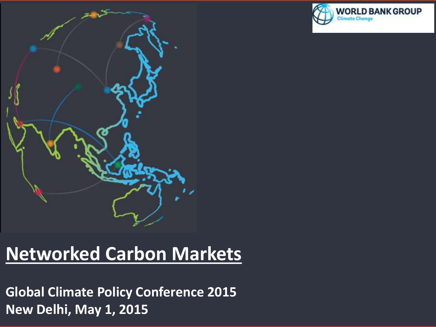

## **Networked Carbon Markets**

**Global Climate Policy Conference 2015 New Delhi, May 1, 2015**

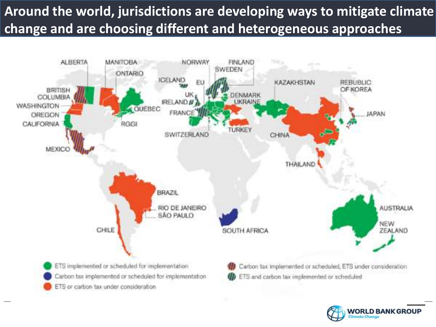## **Around the world, jurisdictions are developing ways to mitigate climate change and are choosing different and heterogeneous approaches**



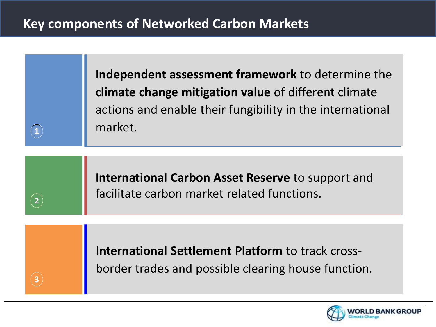#### **Key components of Networked Carbon Markets**

Observations

 $\mathbf{1}$ 

**2**

**3**

**Independent assessment framework** to determine the **climate change mitigation value** of different climate actions and enable their fungibility in the international market.

**International Carbon Asset Reserve** to support and facilitate carbon market related functions.

**International Settlement Platform** to track crossborder trades and possible clearing house function.

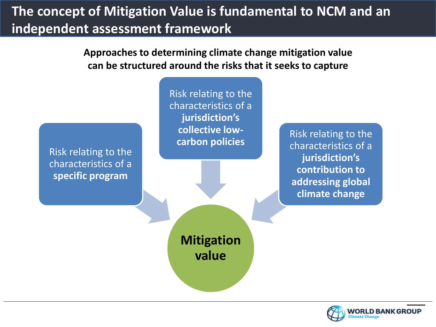### **The concept of Mitigation Value is fundamental to NCM and an independent assessment framework**

Observations **Approaches to determining climate change mitigation value can be structured around the risks that it seeks to capture** 



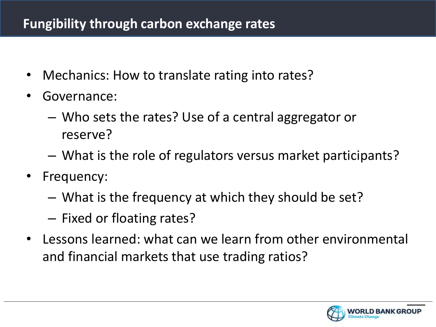#### **Fungibility through carbon exchange rates**

- Mechanics: How to translate rating into rates?
- Governance:
	- Who sets the rates? Use of a central aggregator or reserve?
	- What is the role of regulators versus market participants?
- Frequency:
	- What is the frequency at which they should be set?
	- Fixed or floating rates?
- Lessons learned: what can we learn from other environmental and financial markets that use trading ratios?

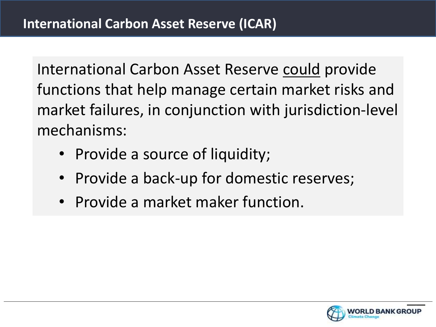International Carbon Asset Reserve could provide functions that help manage certain market risks and market failures, in conjunction with jurisdiction-level mechanisms:

- Provide a source of liquidity;
- Provide a back-up for domestic reserves;
- Provide a market maker function.

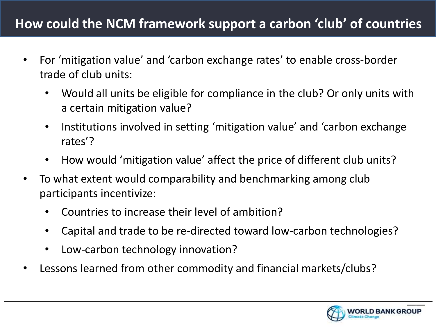#### **How could the NCM framework support a carbon 'club' of countries**

- Observations • For 'mitigation value' and 'carbon exchange rates' to enable cross-border trade of club units:
	- Would all units be eligible for compliance in the club? Or only units with a certain mitigation value?
	- Institutions involved in setting 'mitigation value' and 'carbon exchange rates'?
	- How would 'mitigation value' affect the price of different club units?
- To what extent would comparability and benchmarking among club participants incentivize:
	- Countries to increase their level of ambition?
	- Capital and trade to be re-directed toward low-carbon technologies?
	- Low-carbon technology innovation?
- Lessons learned from other commodity and financial markets/clubs?

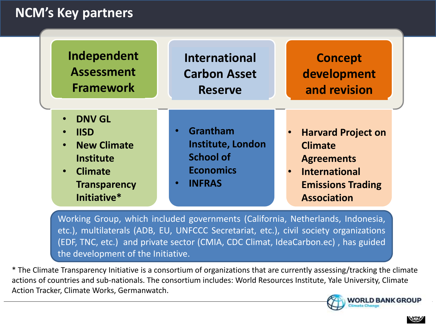#### **NCM's Key partners**

| Independent                                                                                                                                                                        | <b>International</b>                                                                                                    | <b>Concept</b>                                                                                                                                                       |
|------------------------------------------------------------------------------------------------------------------------------------------------------------------------------------|-------------------------------------------------------------------------------------------------------------------------|----------------------------------------------------------------------------------------------------------------------------------------------------------------------|
| <b>Assessment</b>                                                                                                                                                                  | <b>Carbon Asset</b>                                                                                                     | development                                                                                                                                                          |
| <b>Framework</b>                                                                                                                                                                   | <b>Reserve</b>                                                                                                          | and revision                                                                                                                                                         |
| <b>DNV GL</b><br>$\bullet$<br><b>IISD</b><br>$\bullet$<br><b>New Climate</b><br>$\bullet$<br><b>Institute</b><br><b>Climate</b><br>$\bullet$<br><b>Transparency</b><br>Initiative* | Grantham<br>$\bullet$<br><b>Institute, London</b><br><b>School of</b><br><b>Economics</b><br><b>INFRAS</b><br>$\bullet$ | <b>Harvard Project on</b><br>$\bullet$<br><b>Climate</b><br><b>Agreements</b><br><b>International</b><br>$\bullet$<br><b>Emissions Trading</b><br><b>Association</b> |

Working Group, which included governments (California, Netherlands, Indonesia, etc.), multilaterals (ADB, EU, UNFCCC Secretariat, etc.), civil society organizations (EDF, TNC, etc.) and private sector (CMIA, CDC Climat, IdeaCarbon.ec) , has guided the development of the Initiative.

\* The Climate Transparency Initiative is a consortium of organizations that are currently assessing/tracking the climate actions of countries and sub-nationals. The consortium includes: World Resources Institute, Yale University, Climate Action Tracker, Climate Works, Germanwatch.